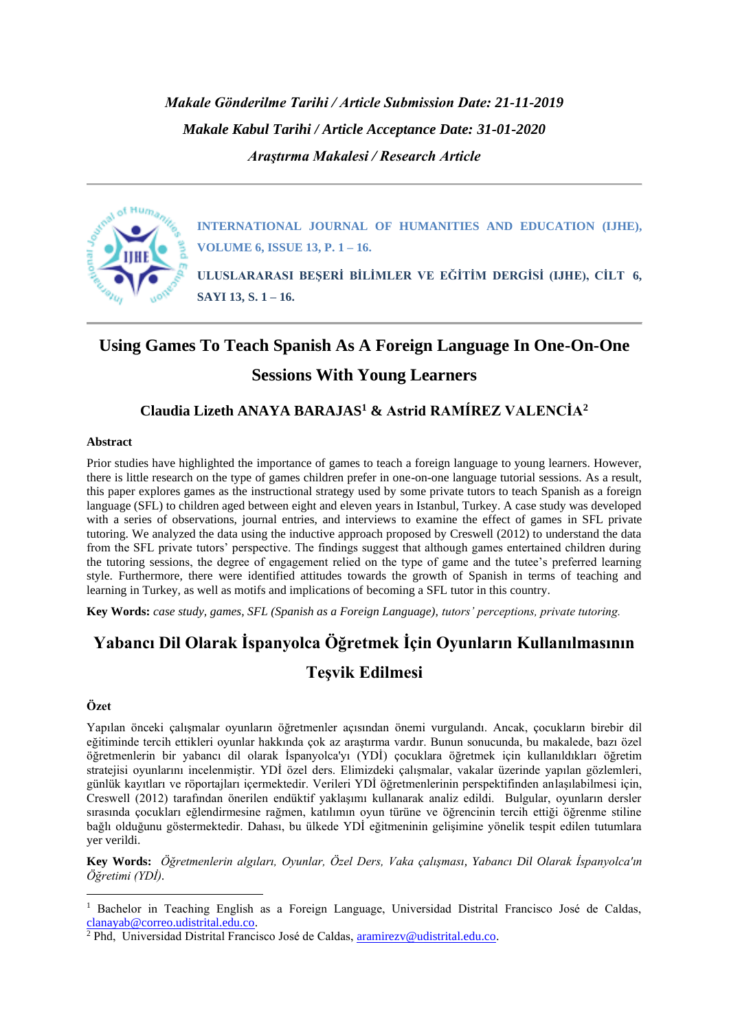*Makale Gönderilme Tarihi / Article Submission Date: 21-11-2019 Makale Kabul Tarihi / Article Acceptance Date: 31-01-2020 Araştırma Makalesi / Research Article*



**INTERNATIONAL JOURNAL OF HUMANITIES AND EDUCATION (IJHE), VOLUME 6, ISSUE 13, P. 1 – 16.**

**ULUSLARARASI BEŞERİ BİLİMLER VE EĞİTİM DERGİSİ (IJHE), CİLT 6, SAYI 13, S. 1 – 16.**

## **Using Games To Teach Spanish As A Foreign Language In One-On-One Sessions With Young Learners**

### **Claudia Lizeth ANAYA BARAJAS<sup>1</sup> & Astrid RAMÍREZ VALENCİA<sup>2</sup>**

#### **Abstract**

Prior studies have highlighted the importance of games to teach a foreign language to young learners. However, there is little research on the type of games children prefer in one-on-one language tutorial sessions. As a result, this paper explores games as the instructional strategy used by some private tutors to teach Spanish as a foreign language (SFL) to children aged between eight and eleven years in Istanbul, Turkey. A case study was developed with a series of observations, journal entries, and interviews to examine the effect of games in SFL private tutoring. We analyzed the data using the inductive approach proposed by Creswell (2012) to understand the data from the SFL private tutors' perspective. The findings suggest that although games entertained children during the tutoring sessions, the degree of engagement relied on the type of game and the tutee's preferred learning style. Furthermore, there were identified attitudes towards the growth of Spanish in terms of teaching and learning in Turkey, as well as motifs and implications of becoming a SFL tutor in this country.

**Key Words:** *case study, games, SFL (Spanish as a Foreign Language), tutors' perceptions, private tutoring.*

# **Yabancı Dil Olarak İspanyolca Öğretmek İçin Oyunların Kullanılmasının Teşvik Edilmesi**

#### **Özet**

Yapılan önceki çalışmalar oyunların öğretmenler açısından önemi vurgulandı. Ancak, çocukların birebir dil eğitiminde tercih ettikleri oyunlar hakkında çok az araştırma vardır. Bunun sonucunda, bu makalede, bazı özel öğretmenlerin bir yabancı dil olarak İspanyolca'yı (YDİ) çocuklara öğretmek için kullanıldıkları öğretim stratejisi oyunlarını incelenmiştir. YDİ özel ders. Elimizdeki çalışmalar, vakalar üzerinde yapılan gözlemleri, günlük kayıtları ve röportajları içermektedir. Verileri YDİ öğretmenlerinin perspektifinden anlaşılabilmesi için, Creswell (2012) tarafından önerilen endüktif yaklaşımı kullanarak analiz edildi. Bulgular, oyunların dersler sırasında çocukları eğlendirmesine rağmen, katılımın oyun türüne ve öğrencinin tercih ettiği öğrenme stiline bağlı olduğunu göstermektedir. Dahası, bu ülkede YDİ eğitmeninin gelişimine yönelik tespit edilen tutumlara yer verildi.

**Key Words:** *Öğretmenlerin algıları, Oyunlar, Özel Ders, Vaka çalışması, Yabancı Dil Olarak İspanyolca'ın Öğretimi (YDİ).*

<sup>&</sup>lt;sup>1</sup> Bachelor in Teaching English as a Foreign Language, Universidad Distrital Francisco José de Caldas, [clanayab@correo.udistrital.edu.co.](mailto:clanayab@correo.udistrital.edu.co)

<sup>&</sup>lt;sup>2</sup> Phd, Universidad Distrital Francisco José de Caldas, [aramirezv@udistrital.edu.co.](mailto:aramirezv@udistrital.edu.co)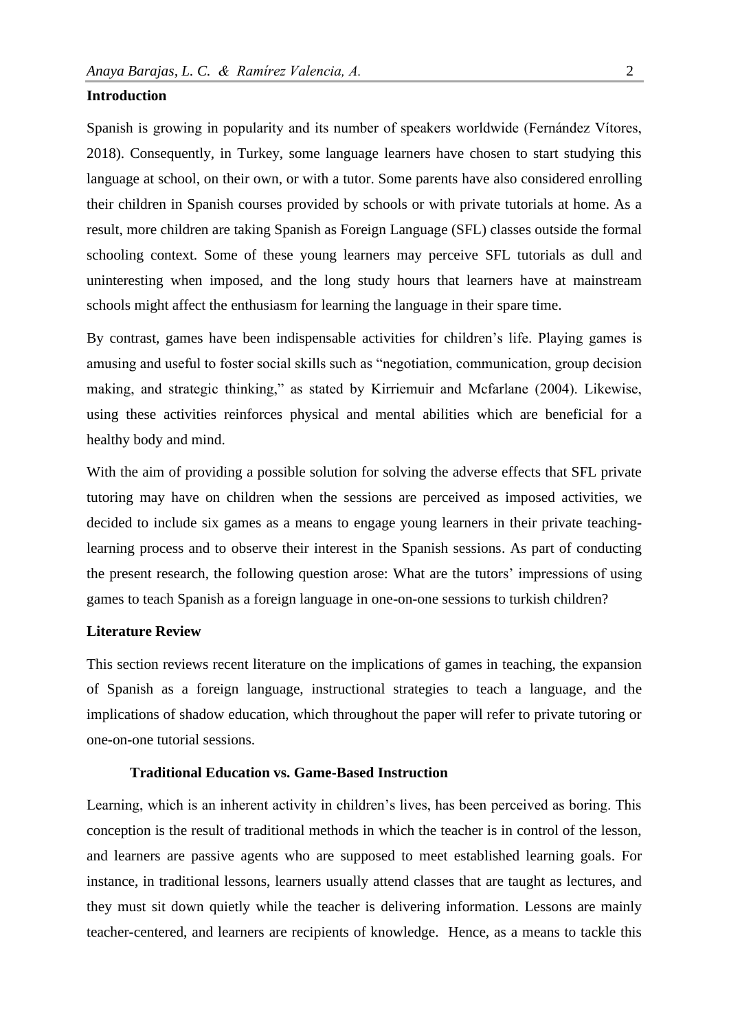#### **Introduction**

Spanish is growing in popularity and its number of speakers worldwide (Fernández Vítores, 2018). Consequently, in Turkey, some language learners have chosen to start studying this language at school, on their own, or with a tutor. Some parents have also considered enrolling their children in Spanish courses provided by schools or with private tutorials at home. As a result, more children are taking Spanish as Foreign Language (SFL) classes outside the formal schooling context. Some of these young learners may perceive SFL tutorials as dull and uninteresting when imposed, and the long study hours that learners have at mainstream schools might affect the enthusiasm for learning the language in their spare time.

By contrast, games have been indispensable activities for children's life. Playing games is amusing and useful to foster social skills such as "negotiation, communication, group decision making, and strategic thinking," as stated by Kirriemuir and Mcfarlane (2004). Likewise, using these activities reinforces physical and mental abilities which are beneficial for a healthy body and mind.

With the aim of providing a possible solution for solving the adverse effects that SFL private tutoring may have on children when the sessions are perceived as imposed activities, we decided to include six games as a means to engage young learners in their private teachinglearning process and to observe their interest in the Spanish sessions. As part of conducting the present research, the following question arose: What are the tutors' impressions of using games to teach Spanish as a foreign language in one-on-one sessions to turkish children?

#### **Literature Review**

This section reviews recent literature on the implications of games in teaching, the expansion of Spanish as a foreign language, instructional strategies to teach a language, and the implications of shadow education, which throughout the paper will refer to private tutoring or one-on-one tutorial sessions.

#### **Traditional Education vs. Game-Based Instruction**

Learning, which is an inherent activity in children's lives, has been perceived as boring. This conception is the result of traditional methods in which the teacher is in control of the lesson, and learners are passive agents who are supposed to meet established learning goals. For instance, in traditional lessons, learners usually attend classes that are taught as lectures, and they must sit down quietly while the teacher is delivering information. Lessons are mainly teacher-centered, and learners are recipients of knowledge. Hence, as a means to tackle this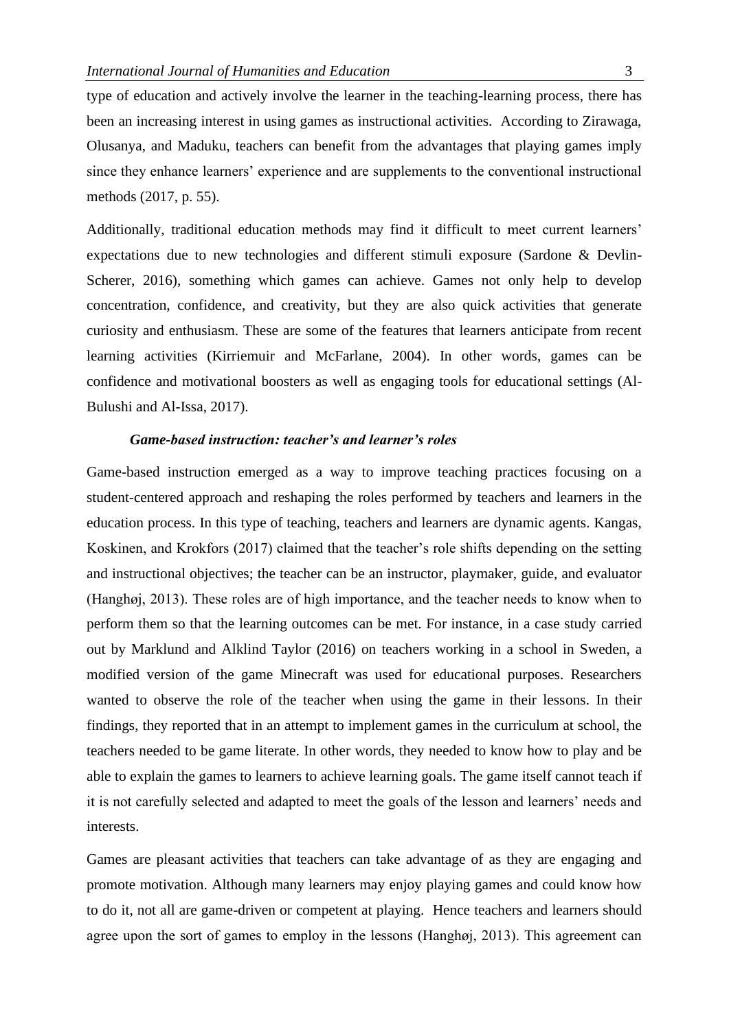type of education and actively involve the learner in the teaching-learning process, there has been an increasing interest in using games as instructional activities. According to Zirawaga, Olusanya, and Maduku, teachers can benefit from the advantages that playing games imply since they enhance learners' experience and are supplements to the conventional instructional methods (2017, p. 55).

Additionally, traditional education methods may find it difficult to meet current learners' expectations due to new technologies and different stimuli exposure (Sardone & Devlin-Scherer, 2016), something which games can achieve. Games not only help to develop concentration, confidence, and creativity, but they are also quick activities that generate curiosity and enthusiasm. These are some of the features that learners anticipate from recent learning activities (Kirriemuir and McFarlane, 2004). In other words, games can be confidence and motivational boosters as well as engaging tools for educational settings (Al-Bulushi and Al-Issa, 2017).

#### *Game-based instruction: teacher's and learner's roles*

Game-based instruction emerged as a way to improve teaching practices focusing on a student-centered approach and reshaping the roles performed by teachers and learners in the education process. In this type of teaching, teachers and learners are dynamic agents. Kangas, Koskinen, and Krokfors (2017) claimed that the teacher's role shifts depending on the setting and instructional objectives; the teacher can be an instructor, playmaker, guide, and evaluator (Hanghøj, 2013). These roles are of high importance, and the teacher needs to know when to perform them so that the learning outcomes can be met. For instance, in a case study carried out by Marklund and Alklind Taylor (2016) on teachers working in a school in Sweden, a modified version of the game Minecraft was used for educational purposes. Researchers wanted to observe the role of the teacher when using the game in their lessons. In their findings, they reported that in an attempt to implement games in the curriculum at school, the teachers needed to be game literate. In other words, they needed to know how to play and be able to explain the games to learners to achieve learning goals. The game itself cannot teach if it is not carefully selected and adapted to meet the goals of the lesson and learners' needs and interests.

Games are pleasant activities that teachers can take advantage of as they are engaging and promote motivation. Although many learners may enjoy playing games and could know how to do it, not all are game-driven or competent at playing. Hence teachers and learners should agree upon the sort of games to employ in the lessons (Hanghøj, 2013). This agreement can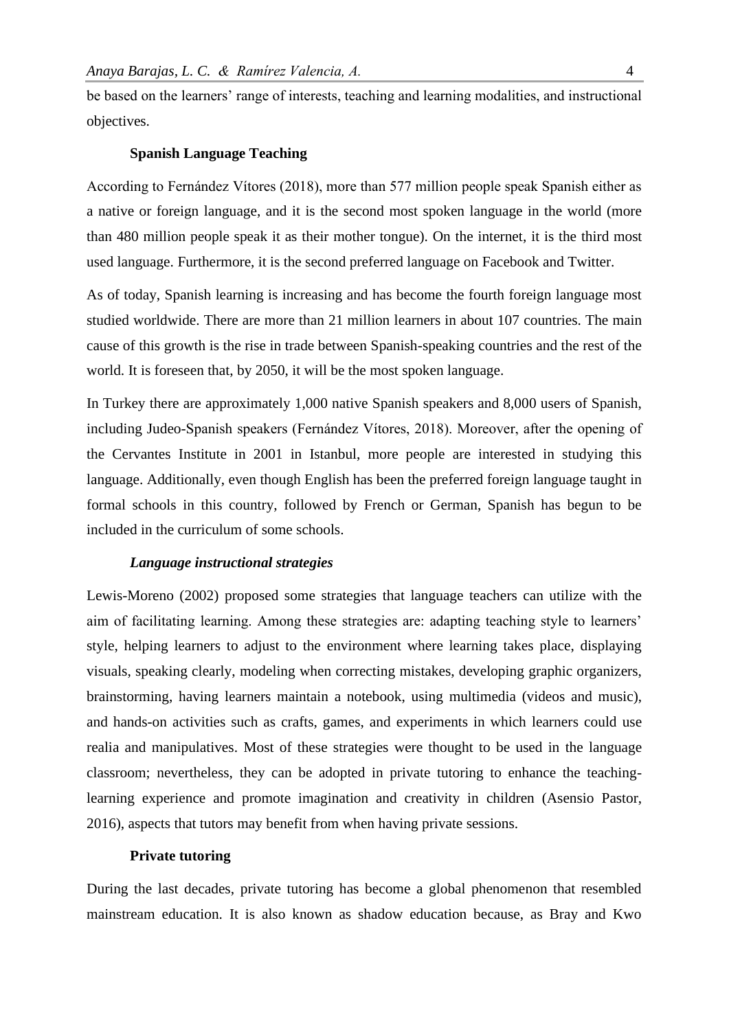be based on the learners' range of interests, teaching and learning modalities, and instructional objectives.

#### **Spanish Language Teaching**

According to Fernández Vítores (2018), more than 577 million people speak Spanish either as a native or foreign language, and it is the second most spoken language in the world (more than 480 million people speak it as their mother tongue). On the internet, it is the third most used language. Furthermore, it is the second preferred language on Facebook and Twitter.

As of today, Spanish learning is increasing and has become the fourth foreign language most studied worldwide. There are more than 21 million learners in about 107 countries. The main cause of this growth is the rise in trade between Spanish-speaking countries and the rest of the world. It is foreseen that, by 2050, it will be the most spoken language.

In Turkey there are approximately 1,000 native Spanish speakers and 8,000 users of Spanish, including Judeo-Spanish speakers (Fernández Vítores, 2018). Moreover, after the opening of the Cervantes Institute in 2001 in Istanbul, more people are interested in studying this language. Additionally, even though English has been the preferred foreign language taught in formal schools in this country, followed by French or German, Spanish has begun to be included in the curriculum of some schools.

#### *Language instructional strategies*

Lewis-Moreno (2002) proposed some strategies that language teachers can utilize with the aim of facilitating learning. Among these strategies are: adapting teaching style to learners' style, helping learners to adjust to the environment where learning takes place, displaying visuals, speaking clearly, modeling when correcting mistakes, developing graphic organizers, brainstorming, having learners maintain a notebook, using multimedia (videos and music), and hands-on activities such as crafts, games, and experiments in which learners could use realia and manipulatives. Most of these strategies were thought to be used in the language classroom; nevertheless, they can be adopted in private tutoring to enhance the teachinglearning experience and promote imagination and creativity in children (Asensio Pastor, 2016), aspects that tutors may benefit from when having private sessions.

#### **Private tutoring**

During the last decades, private tutoring has become a global phenomenon that resembled mainstream education. It is also known as shadow education because, as Bray and Kwo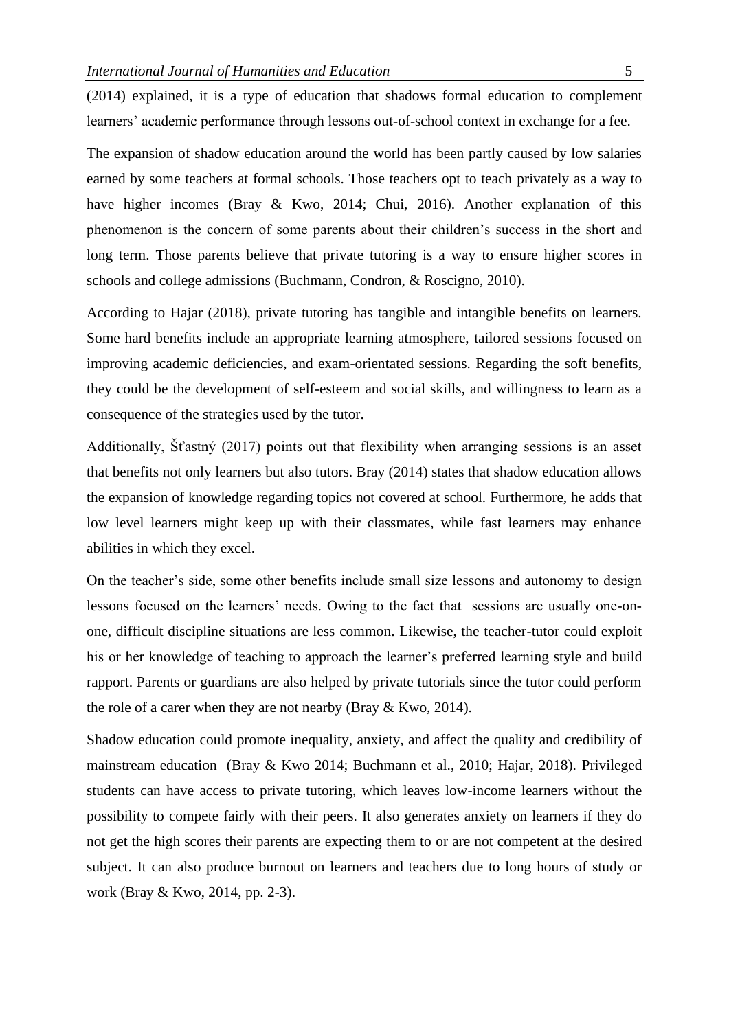(2014) explained, it is a type of education that shadows formal education to complement learners' academic performance through lessons out-of-school context in exchange for a fee.

The expansion of shadow education around the world has been partly caused by low salaries earned by some teachers at formal schools. Those teachers opt to teach privately as a way to have higher incomes (Bray & Kwo, 2014; Chui, 2016). Another explanation of this phenomenon is the concern of some parents about their children's success in the short and long term. Those parents believe that private tutoring is a way to ensure higher scores in schools and college admissions (Buchmann, Condron, & Roscigno, 2010).

According to Hajar (2018), private tutoring has tangible and intangible benefits on learners. Some hard benefits include an appropriate learning atmosphere, tailored sessions focused on improving academic deficiencies, and exam-orientated sessions. Regarding the soft benefits, they could be the development of self-esteem and social skills, and willingness to learn as a consequence of the strategies used by the tutor.

Additionally, Šťastný (2017) points out that flexibility when arranging sessions is an asset that benefits not only learners but also tutors. Bray (2014) states that shadow education allows the expansion of knowledge regarding topics not covered at school. Furthermore, he adds that low level learners might keep up with their classmates, while fast learners may enhance abilities in which they excel.

On the teacher's side, some other benefits include small size lessons and autonomy to design lessons focused on the learners' needs. Owing to the fact that sessions are usually one-onone, difficult discipline situations are less common. Likewise, the teacher-tutor could exploit his or her knowledge of teaching to approach the learner's preferred learning style and build rapport. Parents or guardians are also helped by private tutorials since the tutor could perform the role of a carer when they are not nearby (Bray & Kwo, 2014).

Shadow education could promote inequality, anxiety, and affect the quality and credibility of mainstream education (Bray & Kwo 2014; Buchmann et al., 2010; Hajar, 2018). Privileged students can have access to private tutoring, which leaves low-income learners without the possibility to compete fairly with their peers. It also generates anxiety on learners if they do not get the high scores their parents are expecting them to or are not competent at the desired subject. It can also produce burnout on learners and teachers due to long hours of study or work (Bray & Kwo, 2014, pp. 2-3).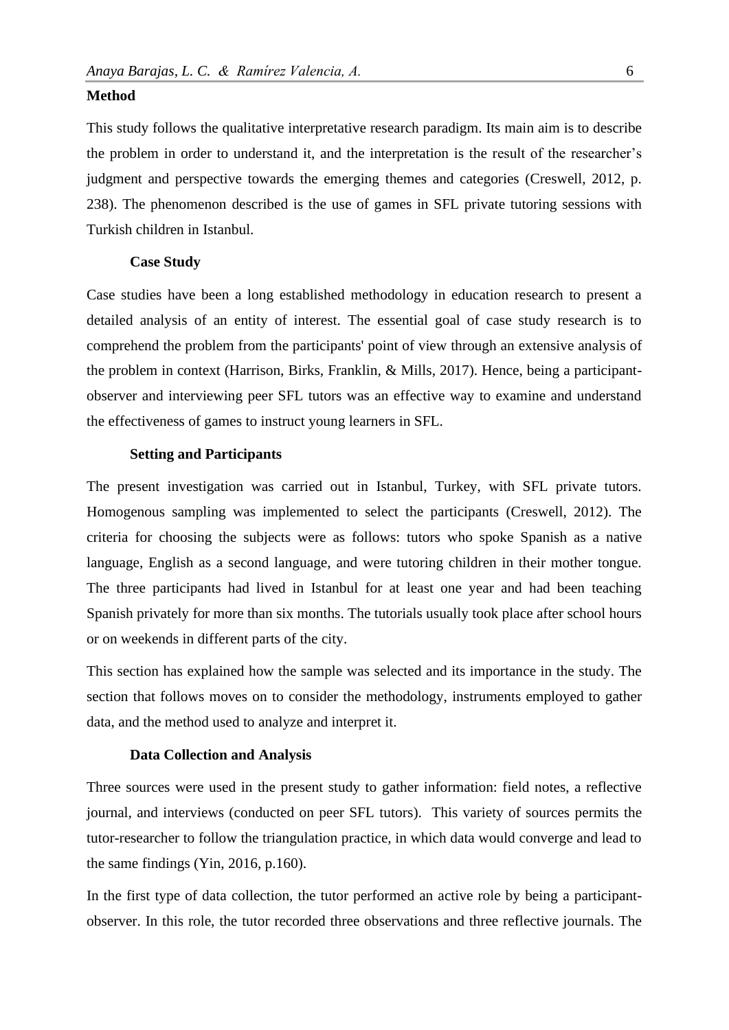#### **Method**

This study follows the qualitative interpretative research paradigm. Its main aim is to describe the problem in order to understand it, and the interpretation is the result of the researcher's judgment and perspective towards the emerging themes and categories (Creswell, 2012, p. 238). The phenomenon described is the use of games in SFL private tutoring sessions with Turkish children in Istanbul.

#### **Case Study**

Case studies have been a long established methodology in education research to present a detailed analysis of an entity of interest. The essential goal of case study research is to comprehend the problem from the participants' point of view through an extensive analysis of the problem in context (Harrison, Birks, Franklin, & Mills, 2017). Hence, being a participantobserver and interviewing peer SFL tutors was an effective way to examine and understand the effectiveness of games to instruct young learners in SFL.

#### **Setting and Participants**

The present investigation was carried out in Istanbul, Turkey, with SFL private tutors. Homogenous sampling was implemented to select the participants (Creswell, 2012). The criteria for choosing the subjects were as follows: tutors who spoke Spanish as a native language, English as a second language, and were tutoring children in their mother tongue. The three participants had lived in Istanbul for at least one year and had been teaching Spanish privately for more than six months. The tutorials usually took place after school hours or on weekends in different parts of the city.

This section has explained how the sample was selected and its importance in the study. The section that follows moves on to consider the methodology, instruments employed to gather data, and the method used to analyze and interpret it.

#### **Data Collection and Analysis**

Three sources were used in the present study to gather information: field notes, a reflective journal, and interviews (conducted on peer SFL tutors). This variety of sources permits the tutor-researcher to follow the triangulation practice, in which data would converge and lead to the same findings (Yin, 2016, p.160).

In the first type of data collection, the tutor performed an active role by being a participantobserver. In this role, the tutor recorded three observations and three reflective journals. The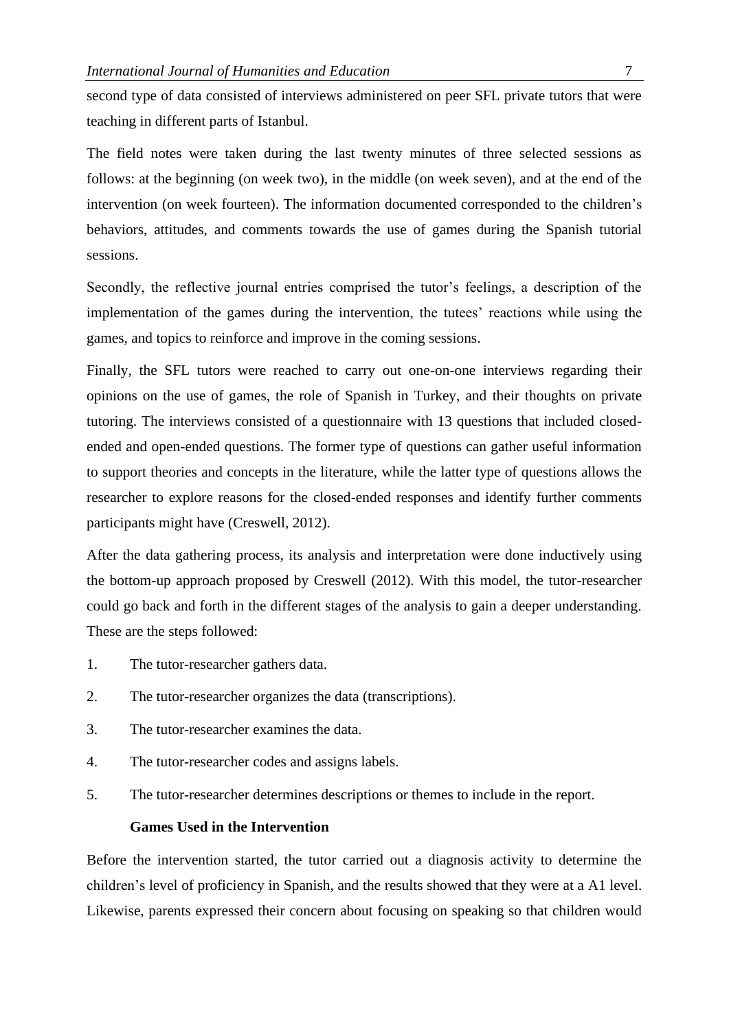second type of data consisted of interviews administered on peer SFL private tutors that were teaching in different parts of Istanbul.

The field notes were taken during the last twenty minutes of three selected sessions as follows: at the beginning (on week two), in the middle (on week seven), and at the end of the intervention (on week fourteen). The information documented corresponded to the children's behaviors, attitudes, and comments towards the use of games during the Spanish tutorial sessions.

Secondly, the reflective journal entries comprised the tutor's feelings, a description of the implementation of the games during the intervention, the tutees' reactions while using the games, and topics to reinforce and improve in the coming sessions.

Finally, the SFL tutors were reached to carry out one-on-one interviews regarding their opinions on the use of games, the role of Spanish in Turkey, and their thoughts on private tutoring. The interviews consisted of a questionnaire with 13 questions that included closedended and open-ended questions. The former type of questions can gather useful information to support theories and concepts in the literature, while the latter type of questions allows the researcher to explore reasons for the closed-ended responses and identify further comments participants might have (Creswell, 2012).

After the data gathering process, its analysis and interpretation were done inductively using the bottom-up approach proposed by Creswell (2012). With this model, the tutor-researcher could go back and forth in the different stages of the analysis to gain a deeper understanding. These are the steps followed:

- 1. The tutor-researcher gathers data.
- 2. The tutor-researcher organizes the data (transcriptions).
- 3. The tutor-researcher examines the data.
- 4. The tutor-researcher codes and assigns labels.
- 5. The tutor-researcher determines descriptions or themes to include in the report.

#### **Games Used in the Intervention**

Before the intervention started, the tutor carried out a diagnosis activity to determine the children's level of proficiency in Spanish, and the results showed that they were at a A1 level. Likewise, parents expressed their concern about focusing on speaking so that children would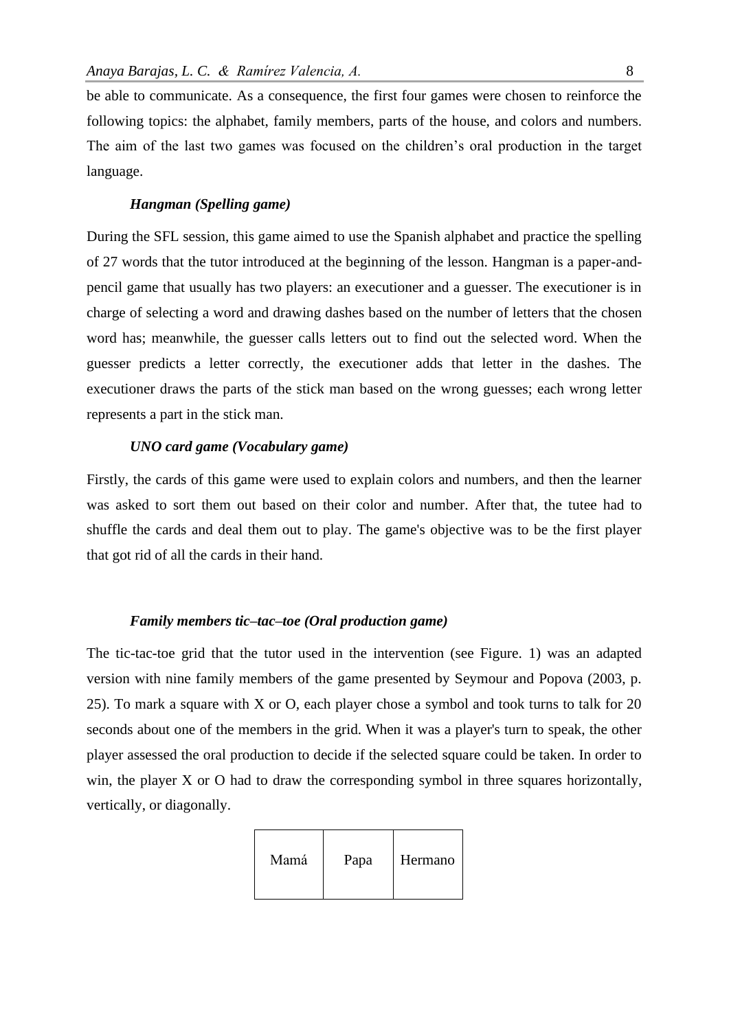be able to communicate. As a consequence, the first four games were chosen to reinforce the following topics: the alphabet, family members, parts of the house, and colors and numbers. The aim of the last two games was focused on the children's oral production in the target language.

#### *Hangman (Spelling game)*

During the SFL session, this game aimed to use the Spanish alphabet and practice the spelling of 27 words that the tutor introduced at the beginning of the lesson. Hangman is a paper-andpencil game that usually has two players: an executioner and a guesser. The executioner is in charge of selecting a word and drawing dashes based on the number of letters that the chosen word has; meanwhile, the guesser calls letters out to find out the selected word. When the guesser predicts a letter correctly, the executioner adds that letter in the dashes. The executioner draws the parts of the stick man based on the wrong guesses; each wrong letter represents a part in the stick man.

#### *UNO card game (Vocabulary game)*

Firstly, the cards of this game were used to explain colors and numbers, and then the learner was asked to sort them out based on their color and number. After that, the tutee had to shuffle the cards and deal them out to play. The game's objective was to be the first player that got rid of all the cards in their hand.

#### *Family members tic–tac–toe (Oral production game)*

The tic-tac-toe grid that the tutor used in the intervention (see Figure. 1) was an adapted version with nine family members of the game presented by Seymour and Popova (2003, p. 25). To mark a square with X or O, each player chose a symbol and took turns to talk for 20 seconds about one of the members in the grid. When it was a player's turn to speak, the other player assessed the oral production to decide if the selected square could be taken. In order to win, the player X or O had to draw the corresponding symbol in three squares horizontally, vertically, or diagonally.

| Mamá | Papa | Hermano |
|------|------|---------|
|      |      |         |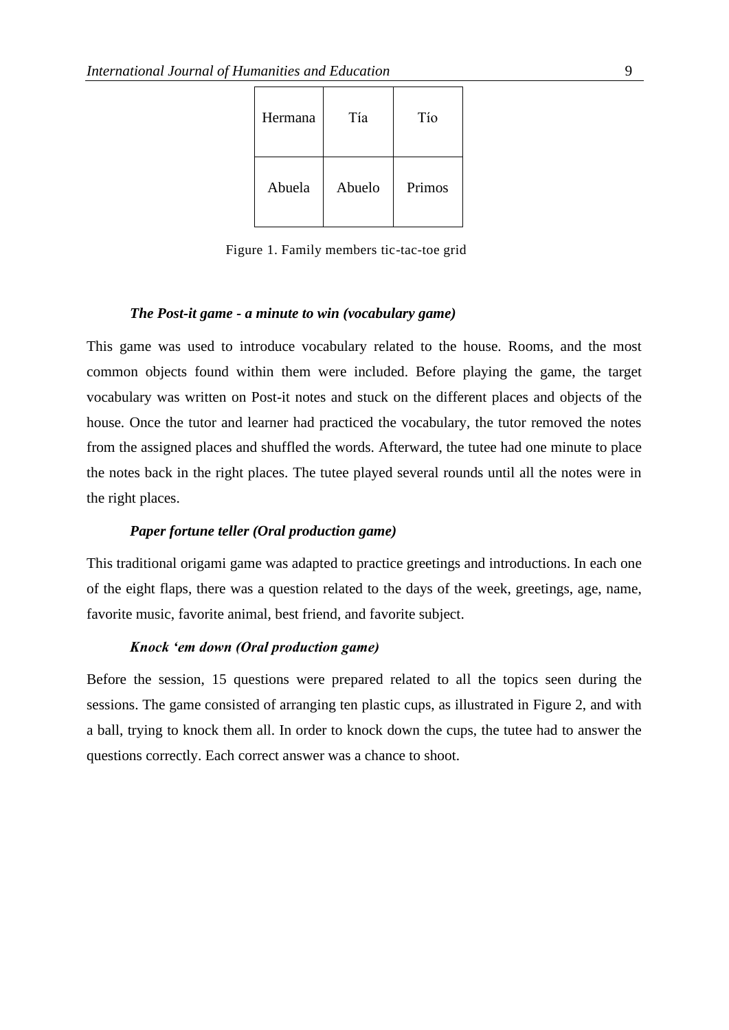| Hermana | Tía    | Tío    |
|---------|--------|--------|
| Abuela  | Abuelo | Primos |

Figure 1. Family members tic-tac-toe grid

#### *The Post-it game - a minute to win (vocabulary game)*

This game was used to introduce vocabulary related to the house. Rooms, and the most common objects found within them were included. Before playing the game, the target vocabulary was written on Post-it notes and stuck on the different places and objects of the house. Once the tutor and learner had practiced the vocabulary, the tutor removed the notes from the assigned places and shuffled the words. Afterward, the tutee had one minute to place the notes back in the right places. The tutee played several rounds until all the notes were in the right places.

#### *Paper fortune teller (Oral production game)*

This traditional origami game was adapted to practice greetings and introductions. In each one of the eight flaps, there was a question related to the days of the week, greetings, age, name, favorite music, favorite animal, best friend, and favorite subject.

#### *Knock 'em down (Oral production game)*

Before the session, 15 questions were prepared related to all the topics seen during the sessions. The game consisted of arranging ten plastic cups, as illustrated in Figure 2, and with a ball, trying to knock them all. In order to knock down the cups, the tutee had to answer the questions correctly. Each correct answer was a chance to shoot.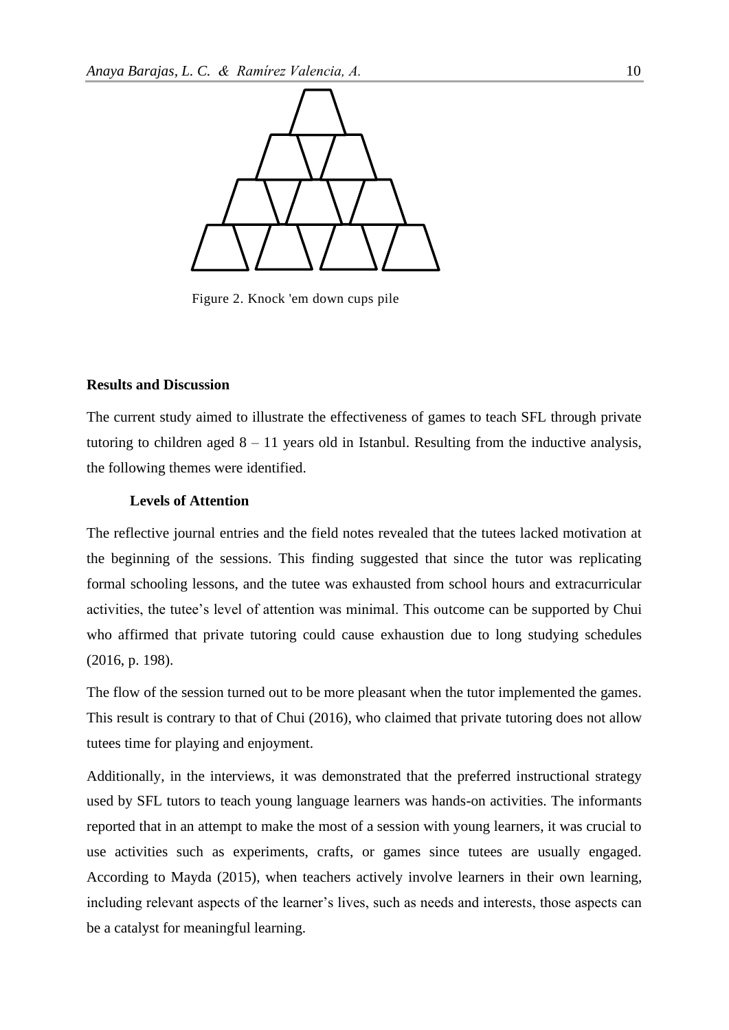

Figure 2. Knock 'em down cups pile

#### **Results and Discussion**

The current study aimed to illustrate the effectiveness of games to teach SFL through private tutoring to children aged  $8 - 11$  years old in Istanbul. Resulting from the inductive analysis, the following themes were identified.

#### **Levels of Attention**

The reflective journal entries and the field notes revealed that the tutees lacked motivation at the beginning of the sessions. This finding suggested that since the tutor was replicating formal schooling lessons, and the tutee was exhausted from school hours and extracurricular activities, the tutee's level of attention was minimal. This outcome can be supported by Chui who affirmed that private tutoring could cause exhaustion due to long studying schedules (2016, p. 198).

The flow of the session turned out to be more pleasant when the tutor implemented the games. This result is contrary to that of Chui (2016), who claimed that private tutoring does not allow tutees time for playing and enjoyment.

Additionally, in the interviews, it was demonstrated that the preferred instructional strategy used by SFL tutors to teach young language learners was hands-on activities. The informants reported that in an attempt to make the most of a session with young learners, it was crucial to use activities such as experiments, crafts, or games since tutees are usually engaged. According to Mayda (2015), when teachers actively involve learners in their own learning, including relevant aspects of the learner's lives, such as needs and interests, those aspects can be a catalyst for meaningful learning.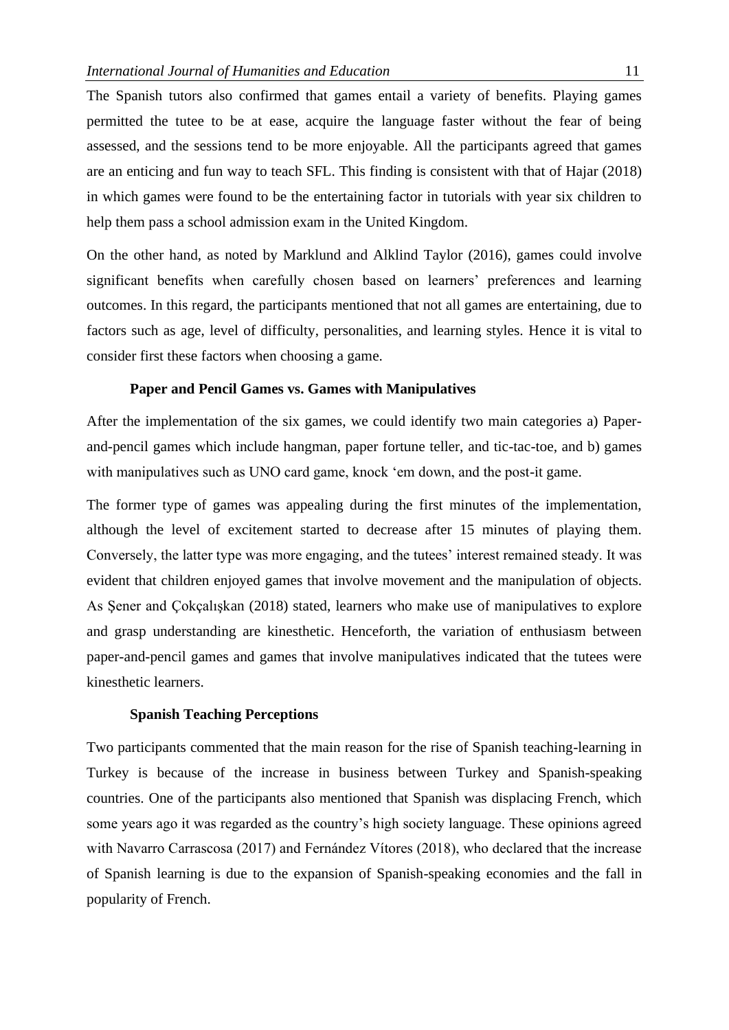The Spanish tutors also confirmed that games entail a variety of benefits. Playing games permitted the tutee to be at ease, acquire the language faster without the fear of being assessed, and the sessions tend to be more enjoyable. All the participants agreed that games are an enticing and fun way to teach SFL. This finding is consistent with that of Hajar (2018) in which games were found to be the entertaining factor in tutorials with year six children to help them pass a school admission exam in the United Kingdom.

On the other hand, as noted by Marklund and Alklind Taylor (2016), games could involve significant benefits when carefully chosen based on learners' preferences and learning outcomes. In this regard, the participants mentioned that not all games are entertaining, due to factors such as age, level of difficulty, personalities, and learning styles. Hence it is vital to consider first these factors when choosing a game.

#### **Paper and Pencil Games vs. Games with Manipulatives**

After the implementation of the six games, we could identify two main categories a) Paperand-pencil games which include hangman, paper fortune teller, and tic-tac-toe, and b) games with manipulatives such as UNO card game, knock 'em down, and the post-it game.

The former type of games was appealing during the first minutes of the implementation, although the level of excitement started to decrease after 15 minutes of playing them. Conversely, the latter type was more engaging, and the tutees' interest remained steady. It was evident that children enjoyed games that involve movement and the manipulation of objects. As Şener and Çokçalışkan (2018) stated, learners who make use of manipulatives to explore and grasp understanding are kinesthetic. Henceforth, the variation of enthusiasm between paper-and-pencil games and games that involve manipulatives indicated that the tutees were kinesthetic learners.

#### **Spanish Teaching Perceptions**

Two participants commented that the main reason for the rise of Spanish teaching-learning in Turkey is because of the increase in business between Turkey and Spanish-speaking countries. One of the participants also mentioned that Spanish was displacing French, which some years ago it was regarded as the country's high society language. These opinions agreed with Navarro Carrascosa (2017) and Fernández Vítores (2018), who declared that the increase of Spanish learning is due to the expansion of Spanish-speaking economies and the fall in popularity of French.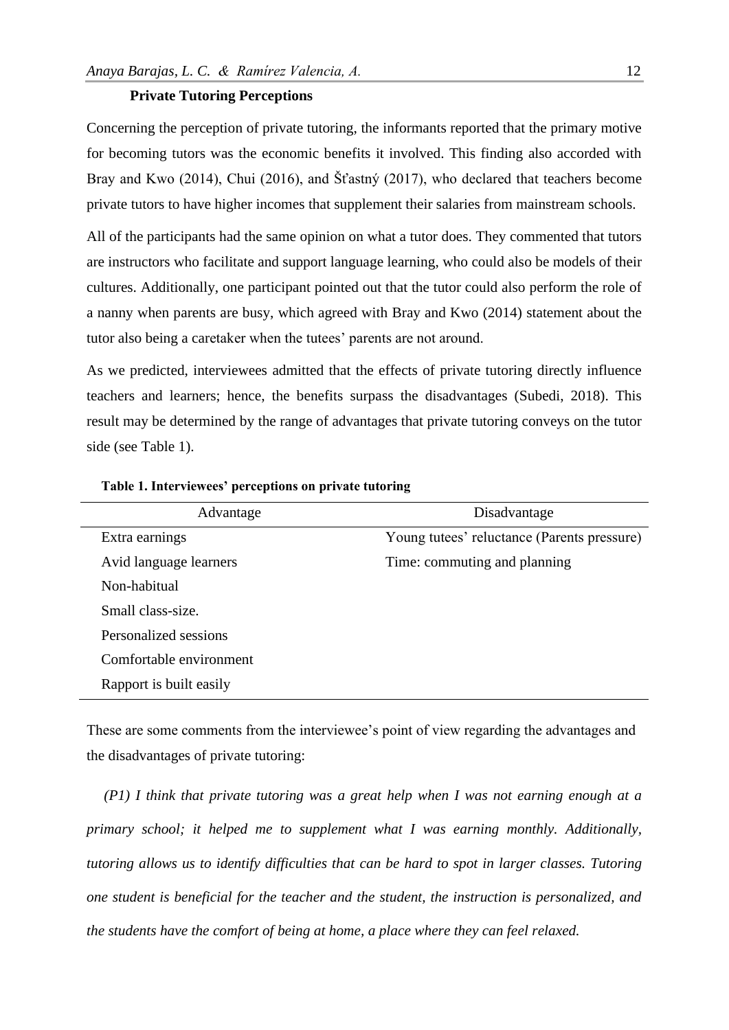#### **Private Tutoring Perceptions**

Concerning the perception of private tutoring, the informants reported that the primary motive for becoming tutors was the economic benefits it involved. This finding also accorded with Bray and Kwo (2014), Chui (2016), and Šťastný (2017), who declared that teachers become private tutors to have higher incomes that supplement their salaries from mainstream schools.

All of the participants had the same opinion on what a tutor does. They commented that tutors are instructors who facilitate and support language learning, who could also be models of their cultures. Additionally, one participant pointed out that the tutor could also perform the role of a nanny when parents are busy, which agreed with Bray and Kwo (2014) statement about the tutor also being a caretaker when the tutees' parents are not around.

As we predicted, interviewees admitted that the effects of private tutoring directly influence teachers and learners; hence, the benefits surpass the disadvantages (Subedi, 2018). This result may be determined by the range of advantages that private tutoring conveys on the tutor side (see Table 1).

| Advantage               | Disadvantage                                |
|-------------------------|---------------------------------------------|
| Extra earnings          | Young tutees' reluctance (Parents pressure) |
| Avid language learners  | Time: commuting and planning                |
| Non-habitual            |                                             |
| Small class-size.       |                                             |
| Personalized sessions   |                                             |
| Comfortable environment |                                             |
| Rapport is built easily |                                             |

**Table 1. Interviewees' perceptions on private tutoring**

These are some comments from the interviewee's point of view regarding the advantages and the disadvantages of private tutoring:

*(P1) I think that private tutoring was a great help when I was not earning enough at a primary school; it helped me to supplement what I was earning monthly. Additionally, tutoring allows us to identify difficulties that can be hard to spot in larger classes. Tutoring one student is beneficial for the teacher and the student, the instruction is personalized, and the students have the comfort of being at home, a place where they can feel relaxed.*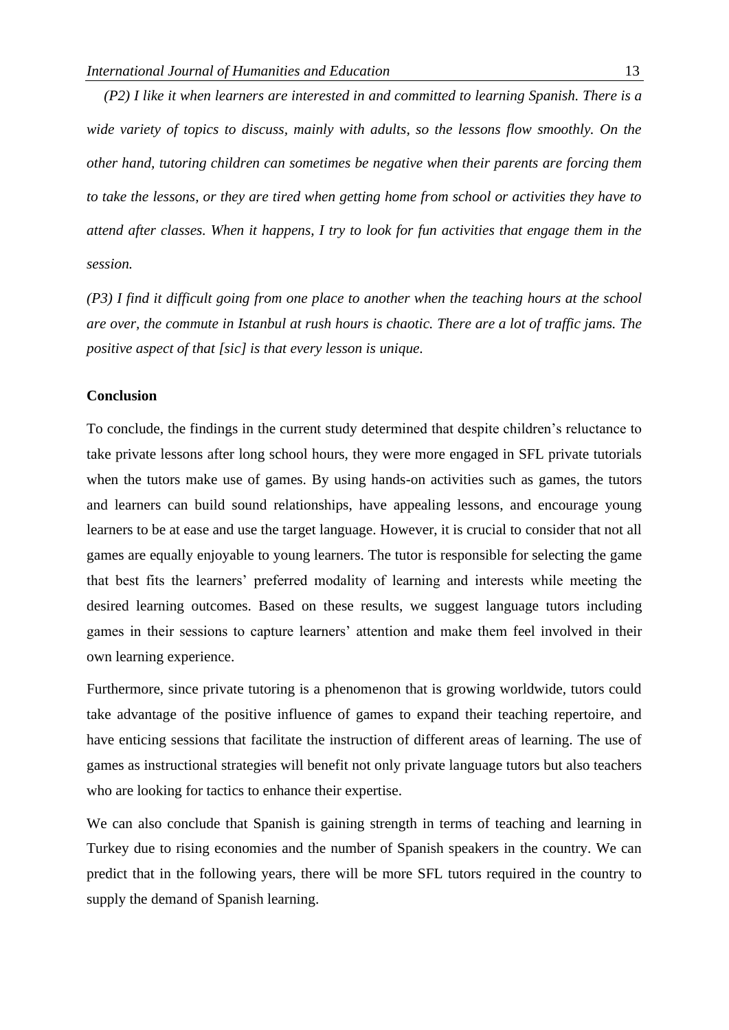*(P2) I like it when learners are interested in and committed to learning Spanish. There is a wide variety of topics to discuss, mainly with adults, so the lessons flow smoothly. On the other hand, tutoring children can sometimes be negative when their parents are forcing them to take the lessons, or they are tired when getting home from school or activities they have to attend after classes. When it happens, I try to look for fun activities that engage them in the session.*

*(P3) I find it difficult going from one place to another when the teaching hours at the school are over, the commute in Istanbul at rush hours is chaotic. There are a lot of traffic jams. The positive aspect of that [sic] is that every lesson is unique.*

#### **Conclusion**

To conclude, the findings in the current study determined that despite children's reluctance to take private lessons after long school hours, they were more engaged in SFL private tutorials when the tutors make use of games. By using hands-on activities such as games, the tutors and learners can build sound relationships, have appealing lessons, and encourage young learners to be at ease and use the target language. However, it is crucial to consider that not all games are equally enjoyable to young learners. The tutor is responsible for selecting the game that best fits the learners' preferred modality of learning and interests while meeting the desired learning outcomes. Based on these results, we suggest language tutors including games in their sessions to capture learners' attention and make them feel involved in their own learning experience.

Furthermore, since private tutoring is a phenomenon that is growing worldwide, tutors could take advantage of the positive influence of games to expand their teaching repertoire, and have enticing sessions that facilitate the instruction of different areas of learning. The use of games as instructional strategies will benefit not only private language tutors but also teachers who are looking for tactics to enhance their expertise.

We can also conclude that Spanish is gaining strength in terms of teaching and learning in Turkey due to rising economies and the number of Spanish speakers in the country. We can predict that in the following years, there will be more SFL tutors required in the country to supply the demand of Spanish learning.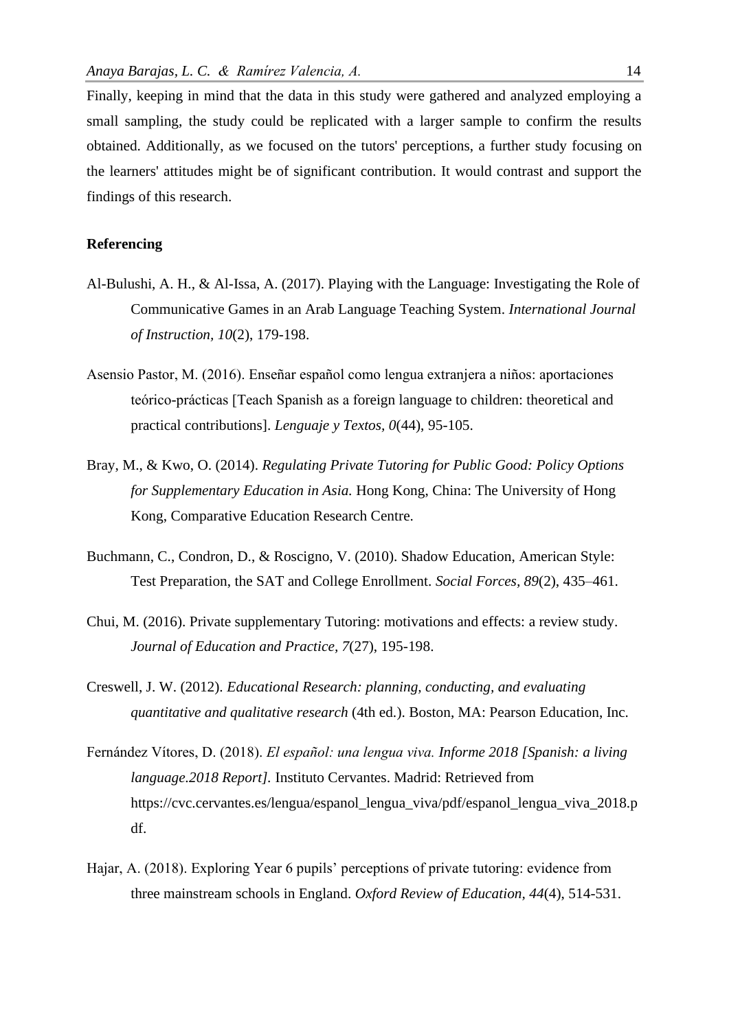Finally, keeping in mind that the data in this study were gathered and analyzed employing a small sampling, the study could be replicated with a larger sample to confirm the results obtained. Additionally, as we focused on the tutors' perceptions, a further study focusing on the learners' attitudes might be of significant contribution. It would contrast and support the findings of this research.

#### **Referencing**

- Al-Bulushi, A. H., & Al-Issa, A. (2017). Playing with the Language: Investigating the Role of Communicative Games in an Arab Language Teaching System. *International Journal of Instruction, 10*(2), 179-198.
- Asensio Pastor, M. (2016). Enseñar español como lengua extranjera a niños: aportaciones teórico-prácticas [Teach Spanish as a foreign language to children: theoretical and practical contributions]. *Lenguaje y Textos, 0*(44), 95-105.
- Bray, M., & Kwo, O. (2014). *Regulating Private Tutoring for Public Good: Policy Options for Supplementary Education in Asia.* Hong Kong, China: The University of Hong Kong, Comparative Education Research Centre.
- Buchmann, C., Condron, D., & Roscigno, V. (2010). Shadow Education, American Style: Test Preparation, the SAT and College Enrollment. *Social Forces, 89*(2), 435–461.
- Chui, M. (2016). Private supplementary Tutoring: motivations and effects: a review study. *Journal of Education and Practice, 7*(27), 195-198.
- Creswell, J. W. (2012). *Educational Research: planning, conducting, and evaluating quantitative and qualitative research* (4th ed.). Boston, MA: Pearson Education, Inc.
- Fernández Vítores, D. (2018). *El español: una lengua viva. Informe 2018 [Spanish: a living language.2018 Report].* Instituto Cervantes. Madrid: Retrieved from https://cvc.cervantes.es/lengua/espanol\_lengua\_viva/pdf/espanol\_lengua\_viva\_2018.p df.
- Hajar, A. (2018). Exploring Year 6 pupils' perceptions of private tutoring: evidence from three mainstream schools in England. *Oxford Review of Education, 44*(4), 514-531.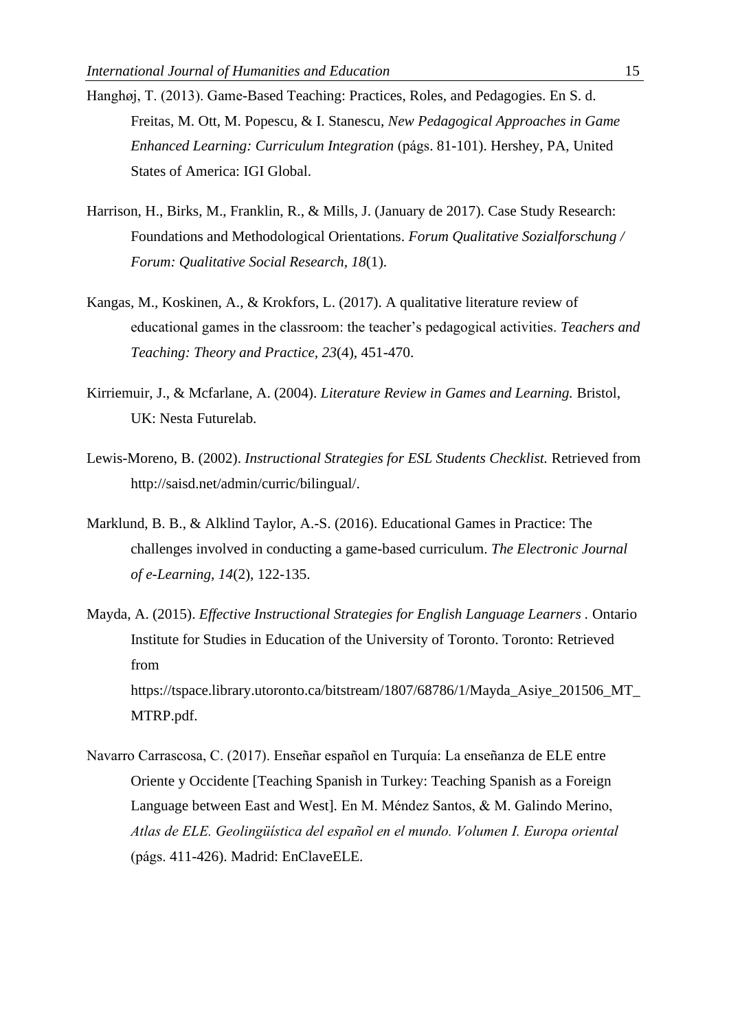- Hanghøj, T. (2013). Game-Based Teaching: Practices, Roles, and Pedagogies. En S. d. Freitas, M. Ott, M. Popescu, & I. Stanescu, *New Pedagogical Approaches in Game Enhanced Learning: Curriculum Integration* (págs. 81-101). Hershey, PA, United States of America: IGI Global.
- Harrison, H., Birks, M., Franklin, R., & Mills, J. (January de 2017). Case Study Research: Foundations and Methodological Orientations. *Forum Qualitative Sozialforschung / Forum: Qualitative Social Research, 18*(1).
- Kangas, M., Koskinen, A., & Krokfors, L. (2017). A qualitative literature review of educational games in the classroom: the teacher's pedagogical activities. *Teachers and Teaching: Theory and Practice, 23*(4), 451-470.
- Kirriemuir, J., & Mcfarlane, A. (2004). *Literature Review in Games and Learning.* Bristol, UK: Nesta Futurelab.
- Lewis-Moreno, B. (2002). *Instructional Strategies for ESL Students Checklist.* Retrieved from http://saisd.net/admin/curric/bilingual/.
- Marklund, B. B., & Alklind Taylor, A.-S. (2016). Educational Games in Practice: The challenges involved in conducting a game-based curriculum. *The Electronic Journal of e-Learning, 14*(2), 122-135.
- Mayda, A. (2015). *Effective Instructional Strategies for English Language Learners .* Ontario Institute for Studies in Education of the University of Toronto. Toronto: Retrieved from https://tspace.library.utoronto.ca/bitstream/1807/68786/1/Mayda\_Asiye\_201506\_MT\_ MTRP.pdf.
- Navarro Carrascosa, C. (2017). Enseñar español en Turquía: La enseñanza de ELE entre Oriente y Occidente [Teaching Spanish in Turkey: Teaching Spanish as a Foreign Language between East and West]. En M. Méndez Santos, & M. Galindo Merino, *Atlas de ELE. Geolingüística del español en el mundo. Volumen I. Europa oriental* (págs. 411-426). Madrid: EnClaveELE.